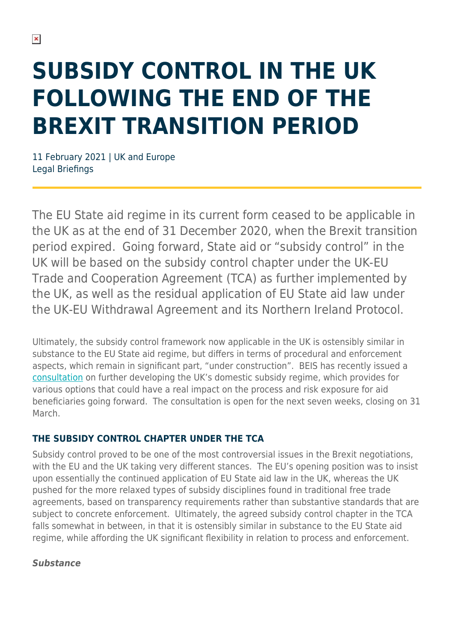# **SUBSIDY CONTROL IN THE UK FOLLOWING THE END OF THE BREXIT TRANSITION PERIOD**

11 February 2021 | UK and Europe Legal Briefings

The EU State aid regime in its current form ceased to be applicable in the UK as at the end of 31 December 2020, when the Brexit transition period expired. Going forward, State aid or "subsidy control" in the UK will be based on the subsidy control chapter under the UK-EU Trade and Cooperation Agreement (TCA) as further implemented by the UK, as well as the residual application of EU State aid law under the UK-EU Withdrawal Agreement and its Northern Ireland Protocol.

Ultimately, the subsidy control framework now applicable in the UK is ostensibly similar in substance to the EU State aid regime, but differs in terms of procedural and enforcement aspects, which remain in significant part, "under construction". BEIS has recently issued a [consultation](https://assets.publishing.service.gov.uk/government/uploads/system/uploads/attachment_data/file/957958/subsidy-control-consultation-document.pdf) on further developing the UK's domestic subsidy regime, which provides for various options that could have a real impact on the process and risk exposure for aid beneficiaries going forward. The consultation is open for the next seven weeks, closing on 31 March.

#### **THE SUBSIDY CONTROL CHAPTER UNDER THE TCA**

Subsidy control proved to be one of the most controversial issues in the Brexit negotiations, with the EU and the UK taking very different stances. The EU's opening position was to insist upon essentially the continued application of EU State aid law in the UK, whereas the UK pushed for the more relaxed types of subsidy disciplines found in traditional free trade agreements, based on transparency requirements rather than substantive standards that are subject to concrete enforcement. Ultimately, the agreed subsidy control chapter in the TCA falls somewhat in between, in that it is ostensibly similar in substance to the EU State aid regime, while affording the UK significant flexibility in relation to process and enforcement.

#### *Substance*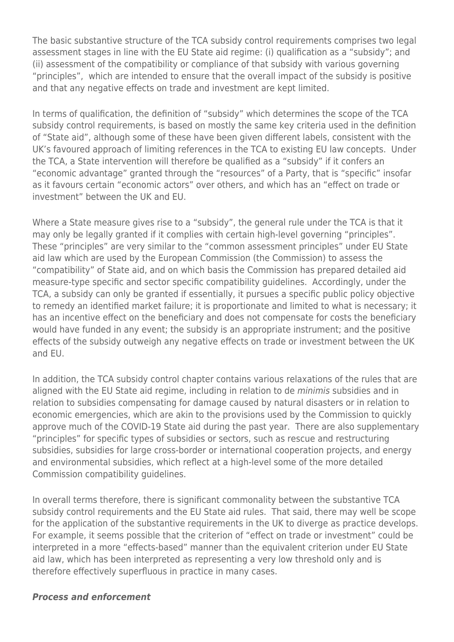The basic substantive structure of the TCA subsidy control requirements comprises two legal assessment stages in line with the EU State aid regime: (i) qualification as a "subsidy"; and (ii) assessment of the compatibility or compliance of that subsidy with various governing "principles", which are intended to ensure that the overall impact of the subsidy is positive and that any negative effects on trade and investment are kept limited.

In terms of qualification, the definition of "subsidy" which determines the scope of the TCA subsidy control requirements, is based on mostly the same key criteria used in the definition of "State aid", although some of these have been given different labels, consistent with the UK's favoured approach of limiting references in the TCA to existing EU law concepts. Under the TCA, a State intervention will therefore be qualified as a "subsidy" if it confers an "economic advantage" granted through the "resources" of a Party, that is "specific" insofar as it favours certain "economic actors" over others, and which has an "effect on trade or investment" between the UK and EU.

Where a State measure gives rise to a "subsidy", the general rule under the TCA is that it may only be legally granted if it complies with certain high-level governing "principles". These "principles" are very similar to the "common assessment principles" under EU State aid law which are used by the European Commission (the Commission) to assess the "compatibility" of State aid, and on which basis the Commission has prepared detailed aid measure-type specific and sector specific compatibility guidelines. Accordingly, under the TCA, a subsidy can only be granted if essentially, it pursues a specific public policy objective to remedy an identified market failure; it is proportionate and limited to what is necessary; it has an incentive effect on the beneficiary and does not compensate for costs the beneficiary would have funded in any event; the subsidy is an appropriate instrument; and the positive effects of the subsidy outweigh any negative effects on trade or investment between the UK and EU.

In addition, the TCA subsidy control chapter contains various relaxations of the rules that are aligned with the EU State aid regime, including in relation to de *minimis* subsidies and in relation to subsidies compensating for damage caused by natural disasters or in relation to economic emergencies, which are akin to the provisions used by the Commission to quickly approve much of the COVID-19 State aid during the past year. There are also supplementary "principles" for specific types of subsidies or sectors, such as rescue and restructuring subsidies, subsidies for large cross-border or international cooperation projects, and energy and environmental subsidies, which reflect at a high-level some of the more detailed Commission compatibility guidelines.

In overall terms therefore, there is significant commonality between the substantive TCA subsidy control requirements and the EU State aid rules. That said, there may well be scope for the application of the substantive requirements in the UK to diverge as practice develops. For example, it seems possible that the criterion of "effect on trade or investment" could be interpreted in a more "effects-based" manner than the equivalent criterion under EU State aid law, which has been interpreted as representing a very low threshold only and is therefore effectively superfluous in practice in many cases.

#### *Process and enforcement*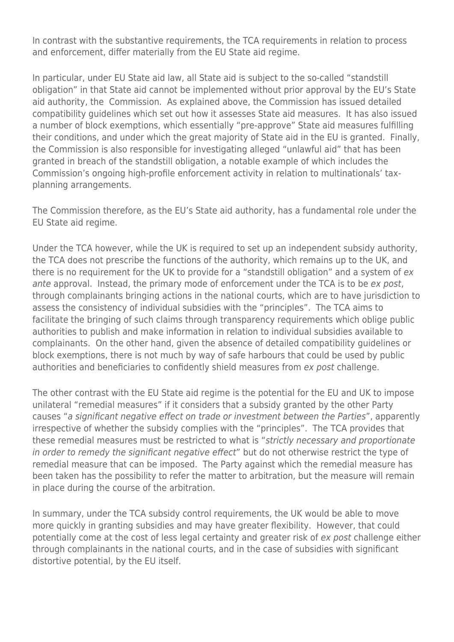In contrast with the substantive requirements, the TCA requirements in relation to process and enforcement, differ materially from the EU State aid regime.

In particular, under EU State aid law, all State aid is subject to the so-called "standstill obligation" in that State aid cannot be implemented without prior approval by the EU's State aid authority, the Commission. As explained above, the Commission has issued detailed compatibility guidelines which set out how it assesses State aid measures. It has also issued a number of block exemptions, which essentially "pre-approve" State aid measures fulfilling their conditions, and under which the great majority of State aid in the EU is granted. Finally, the Commission is also responsible for investigating alleged "unlawful aid" that has been granted in breach of the standstill obligation, a notable example of which includes the Commission's ongoing high-profile enforcement activity in relation to multinationals' taxplanning arrangements.

The Commission therefore, as the EU's State aid authority, has a fundamental role under the EU State aid regime.

Under the TCA however, while the UK is required to set up an independent subsidy authority, the TCA does not prescribe the functions of the authority, which remains up to the UK, and there is no requirement for the UK to provide for a "standstill obligation" and a system of ex ante approval. Instead, the primary mode of enforcement under the TCA is to be ex post, through complainants bringing actions in the national courts, which are to have jurisdiction to assess the consistency of individual subsidies with the "principles". The TCA aims to facilitate the bringing of such claims through transparency requirements which oblige public authorities to publish and make information in relation to individual subsidies available to complainants. On the other hand, given the absence of detailed compatibility guidelines or block exemptions, there is not much by way of safe harbours that could be used by public authorities and beneficiaries to confidently shield measures from ex post challenge.

The other contrast with the EU State aid regime is the potential for the EU and UK to impose unilateral "remedial measures" if it considers that a subsidy granted by the other Party causes "a significant negative effect on trade or investment between the Parties", apparently irrespective of whether the subsidy complies with the "principles". The TCA provides that these remedial measures must be restricted to what is "strictly necessary and proportionate in order to remedy the significant negative effect" but do not otherwise restrict the type of remedial measure that can be imposed. The Party against which the remedial measure has been taken has the possibility to refer the matter to arbitration, but the measure will remain in place during the course of the arbitration.

In summary, under the TCA subsidy control requirements, the UK would be able to move more quickly in granting subsidies and may have greater flexibility. However, that could potentially come at the cost of less legal certainty and greater risk of ex post challenge either through complainants in the national courts, and in the case of subsidies with significant distortive potential, by the EU itself.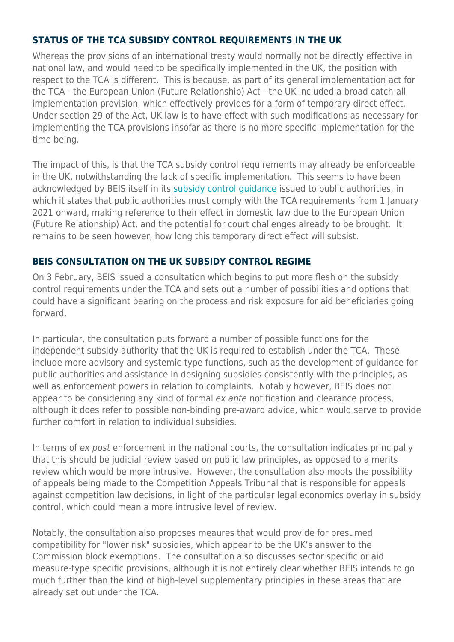#### **STATUS OF THE TCA SUBSIDY CONTROL REQUIREMENTS IN THE UK**

Whereas the provisions of an international treaty would normally not be directly effective in national law, and would need to be specifically implemented in the UK, the position with respect to the TCA is different. This is because, as part of its general implementation act for the TCA - the European Union (Future Relationship) Act - the UK included a broad catch-all implementation provision, which effectively provides for a form of temporary direct effect. Under section 29 of the Act, UK law is to have effect with such modifications as necessary for implementing the TCA provisions insofar as there is no more specific implementation for the time being.

The impact of this, is that the TCA subsidy control requirements may already be enforceable in the UK, notwithstanding the lack of specific implementation. This seems to have been acknowledged by BEIS itself in its [subsidy control guidance](https://www.gov.uk/government/publications/complying-with-the-uks-international-obligations-on-subsidy-control-guidance-for-public-authorities/technical-guidance-on-the-uks-international-subsidy-control-commitments) issued to public authorities, in which it states that public authorities must comply with the TCA requirements from 1 January 2021 onward, making reference to their effect in domestic law due to the European Union (Future Relationship) Act, and the potential for court challenges already to be brought. It remains to be seen however, how long this temporary direct effect will subsist.

#### **BEIS CONSULTATION ON THE UK SUBSIDY CONTROL REGIME**

On 3 February, BEIS issued a consultation which begins to put more flesh on the subsidy control requirements under the TCA and sets out a number of possibilities and options that could have a significant bearing on the process and risk exposure for aid beneficiaries going forward.

In particular, the consultation puts forward a number of possible functions for the independent subsidy authority that the UK is required to establish under the TCA. These include more advisory and systemic-type functions, such as the development of guidance for public authorities and assistance in designing subsidies consistently with the principles, as well as enforcement powers in relation to complaints. Notably however, BEIS does not appear to be considering any kind of formal ex ante notification and clearance process. although it does refer to possible non-binding pre-award advice, which would serve to provide further comfort in relation to individual subsidies.

In terms of ex post enforcement in the national courts, the consultation indicates principally that this should be judicial review based on public law principles, as opposed to a merits review which would be more intrusive. However, the consultation also moots the possibility of appeals being made to the Competition Appeals Tribunal that is responsible for appeals against competition law decisions, in light of the particular legal economics overlay in subsidy control, which could mean a more intrusive level of review.

Notably, the consultation also proposes meaures that would provide for presumed compatibility for "lower risk" subsidies, which appear to be the UK's answer to the Commission block exemptions. The consultation also discusses sector specific or aid measure-type specific provisions, although it is not entirely clear whether BEIS intends to go much further than the kind of high-level supplementary principles in these areas that are already set out under the TCA.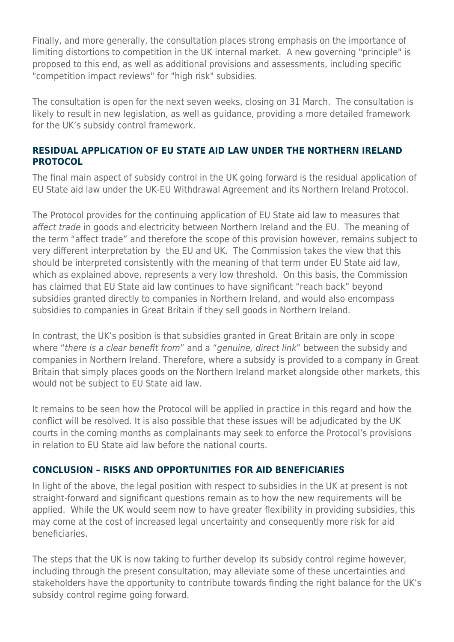Finally, and more generally, the consultation places strong emphasis on the importance of limiting distortions to competition in the UK internal market. A new governing "principle" is proposed to this end, as well as additional provisions and assessments, including specific "competition impact reviews" for "high risk" subsidies.

The consultation is open for the next seven weeks, closing on 31 March. The consultation is likely to result in new legislation, as well as guidance, providing a more detailed framework for the UK's subsidy control framework.

#### **RESIDUAL APPLICATION OF EU STATE AID LAW UNDER THE NORTHERN IRELAND PROTOCOL**

The final main aspect of subsidy control in the UK going forward is the residual application of EU State aid law under the UK-EU Withdrawal Agreement and its Northern Ireland Protocol.

The Protocol provides for the continuing application of EU State aid law to measures that affect trade in goods and electricity between Northern Ireland and the EU. The meaning of the term "affect trade" and therefore the scope of this provision however, remains subject to very different interpretation by the EU and UK. The Commission takes the view that this should be interpreted consistently with the meaning of that term under EU State aid law, which as explained above, represents a very low threshold. On this basis, the Commission has claimed that EU State aid law continues to have significant "reach back" beyond subsidies granted directly to companies in Northern Ireland, and would also encompass subsidies to companies in Great Britain if they sell goods in Northern Ireland.

In contrast, the UK's position is that subsidies granted in Great Britain are only in scope where "there is a clear benefit from" and a "genuine, direct link" between the subsidy and companies in Northern Ireland. Therefore, where a subsidy is provided to a company in Great Britain that simply places goods on the Northern Ireland market alongside other markets, this would not be subject to EU State aid law.

It remains to be seen how the Protocol will be applied in practice in this regard and how the conflict will be resolved. It is also possible that these issues will be adjudicated by the UK courts in the coming months as complainants may seek to enforce the Protocol's provisions in relation to EU State aid law before the national courts.

#### **CONCLUSION – RISKS AND OPPORTUNITIES FOR AID BENEFICIARIES**

In light of the above, the legal position with respect to subsidies in the UK at present is not straight-forward and significant questions remain as to how the new requirements will be applied. While the UK would seem now to have greater flexibility in providing subsidies, this may come at the cost of increased legal uncertainty and consequently more risk for aid beneficiaries.

The steps that the UK is now taking to further develop its subsidy control regime however, including through the present consultation, may alleviate some of these uncertainties and stakeholders have the opportunity to contribute towards finding the right balance for the UK's subsidy control regime going forward.